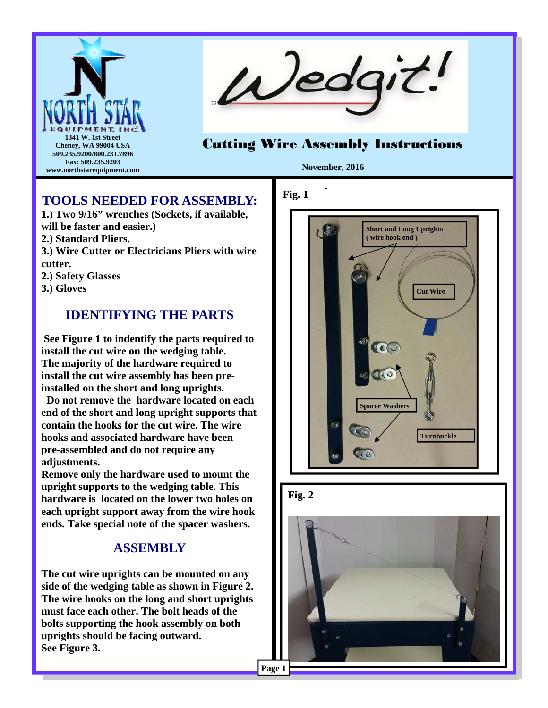



# Cutting Wire Assembly Instructions

**November, 2016** 

-

### **TOOLS NEEDED FOR ASSEMBLY:**

**1.) Two 9/16" wrenches (Sockets, if available, will be faster and easier.) 2.) Standard Pliers. 3.) Wire Cutter or Electricians Pliers with wire cutter. 2.) Safety Glasses 3.) Gloves** 

# **IDENTIFYING THE PARTS**

 **See Figure 1 to indentify the parts required to install the cut wire on the wedging table. The majority of the hardware required to install the cut wire assembly has been preinstalled on the short and long uprights.** 

 **Do not remove the hardware located on each end of the short and long upright supports that contain the hooks for the cut wire. The wire hooks and associated hardware have been pre-assembled and do not require any adjustments.** 

**Remove only the hardware used to mount the upright supports to the wedging table. This hardware is located on the lower two holes on each upright support away from the wire hook ends. Take special note of the spacer washers.** 

### **ASSEMBLY**

**The cut wire uprights can be mounted on any side of the wedging table as shown in Figure 2. The wire hooks on the long and short uprights must face each other. The bolt heads of the bolts supporting the hook assembly on both uprights should be facing outward. See Figure 3.**

#### **Fig. 1**





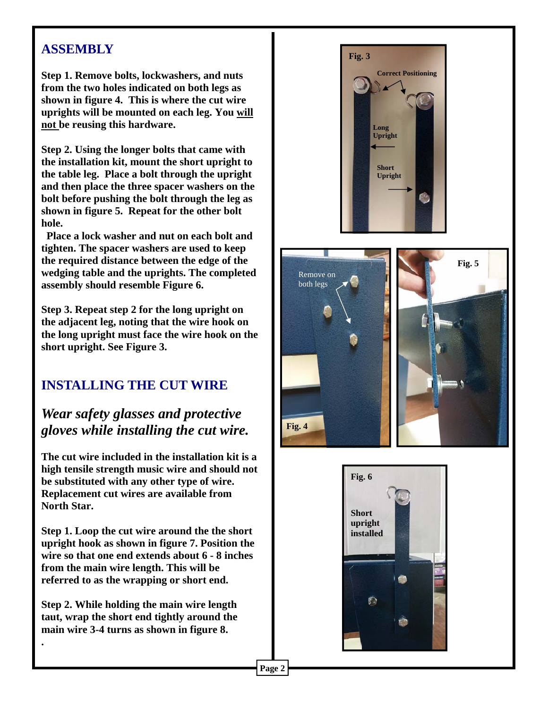## **ASSEMBLY**

**Step 1. Remove bolts, lockwashers, and nuts from the two holes indicated on both legs as shown in figure 4. This is where the cut wire uprights will be mounted on each leg. You will not be reusing this hardware.** 

**Step 2. Using the longer bolts that came with the installation kit, mount the short upright to the table leg. Place a bolt through the upright and then place the three spacer washers on the bolt before pushing the bolt through the leg as shown in figure 5. Repeat for the other bolt hole.** 

 **Place a lock washer and nut on each bolt and tighten. The spacer washers are used to keep the required distance between the edge of the wedging table and the uprights. The completed assembly should resemble Figure 6.** 

**Step 3. Repeat step 2 for the long upright on the adjacent leg, noting that the wire hook on the long upright must face the wire hook on the short upright. See Figure 3.** 

# **INSTALLING THE CUT WIRE**

# *Wear safety glasses and protective gloves while installing the cut wire.*

**The cut wire included in the installation kit is a high tensile strength music wire and should not be substituted with any other type of wire. Replacement cut wires are available from North Star.** 

**Step 1. Loop the cut wire around the the short upright hook as shown in figure 7. Position the wire so that one end extends about 6 - 8 inches from the main wire length. This will be referred to as the wrapping or short end.** 

**Step 2. While holding the main wire length taut, wrap the short end tightly around the main wire 3-4 turns as shown in figure 8.** 

**.** 







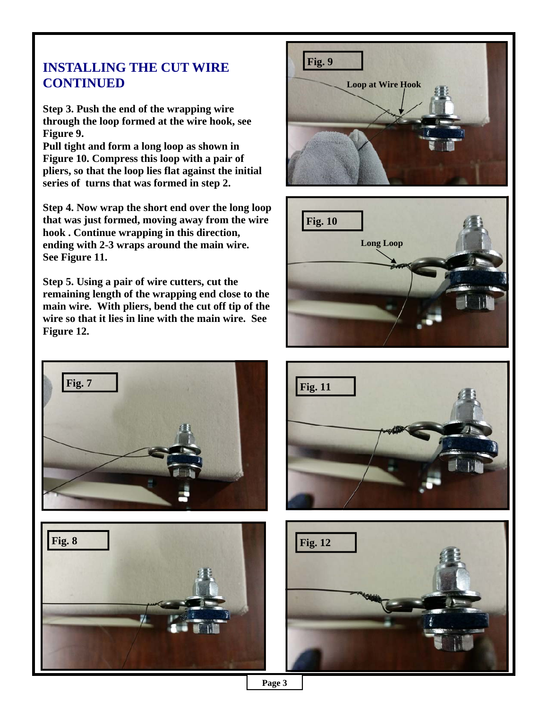## **INSTALLING THE CUT WIRE CONTINUED**

**Step 3. Push the end of the wrapping wire through the loop formed at the wire hook, see Figure 9.** 

**Pull tight and form a long loop as shown in Figure 10. Compress this loop with a pair of pliers, so that the loop lies flat against the initial series of turns that was formed in step 2.** 

**Step 4. Now wrap the short end over the long loop that was just formed, moving away from the wire hook . Continue wrapping in this direction, ending with 2-3 wraps around the main wire. See Figure 11.** 

**Step 5. Using a pair of wire cutters, cut the remaining length of the wrapping end close to the main wire. With pliers, bend the cut off tip of the wire so that it lies in line with the main wire. See Figure 12.** 









**Page 3**